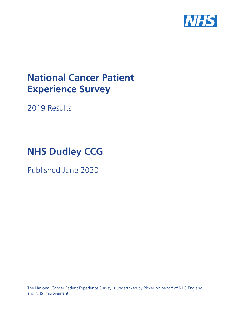

# **National Cancer Patient Experience Survey**

2019 Results

# **NHS Dudley CCG**

Published June 2020

The National Cancer Patient Experience Survey is undertaken by Picker on behalf of NHS England and NHS Improvement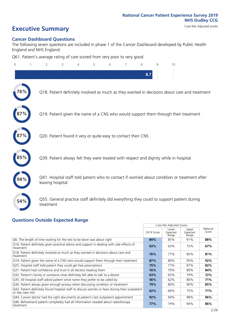# **Executive Summary** Case Mix Adjusted scores

#### **Cancer Dashboard Questions**

The following seven questions are included in phase 1 of the Cancer Dashboard developed by Public Health England and NHS England:

Q61. Patient's average rating of care scored from very poor to very good

| $\Omega$ | 2                                                             | 3 | 4 | 5 | 6 | 7 | 8   | 9 | 10                                                                                            |  |
|----------|---------------------------------------------------------------|---|---|---|---|---|-----|---|-----------------------------------------------------------------------------------------------|--|
|          |                                                               |   |   |   |   |   | 8.7 |   |                                                                                               |  |
| 76%      |                                                               |   |   |   |   |   |     |   | Q18. Patient definitely involved as much as they wanted in decisions about care and treatment |  |
|          |                                                               |   |   |   |   |   |     |   | Q19. Patient given the name of a CNS who would support them through their treatment           |  |
|          | Q20. Patient found it very or quite easy to contact their CNS |   |   |   |   |   |     |   |                                                                                               |  |
|          |                                                               |   |   |   |   |   |     |   | Q39. Patient always felt they were treated with respect and dignity while in hospital         |  |
|          | leaving hospital                                              |   |   |   |   |   |     |   | Q41. Hospital staff told patient who to contact if worried about condition or treatment after |  |
| 54%      | treatment                                                     |   |   |   |   |   |     |   | Q55. General practice staff definitely did everything they could to support patient during    |  |
|          | <b>Questions Outside Expected Range</b>                       |   |   |   |   |   |     |   |                                                                                               |  |

|                                                                                                                       |            | Case Mix Adjusted Scores   |                            |                   |
|-----------------------------------------------------------------------------------------------------------------------|------------|----------------------------|----------------------------|-------------------|
|                                                                                                                       | 2019 Score | Lower<br>Expected<br>Range | Upper<br>Expected<br>Range | National<br>Score |
| Q6. The length of time waiting for the test to be done was about right                                                | 84%        | 85%                        | 91%                        | 88%               |
| Q16. Patient definitely given practical advice and support in dealing with side effects of<br>treatment               | 63%        | 63%                        | 72%                        | 67%               |
| Q18. Patient definitely involved as much as they wanted in decisions about care and<br>treatment                      | 76%        | 77%                        | 85%                        | 81%               |
| Q19. Patient given the name of a CNS who would support them through their treatment                                   | 87%        | 89%                        | 95%                        | 92%               |
| Q25. Hospital staff told patient they could get free prescriptions                                                    | 75%        | 77%                        | 87%                        | 82%               |
| Q31. Patient had confidence and trust in all doctors treating them                                                    | 76%        | 79%                        | 89%                        | 84%               |
| Q32. Patient's family or someone close definitely felt able to talk to a doctor                                       | 63%        | 65%                        | 79%                        | 72%               |
| Q35. All hospital staff asked patient what name they prefer to be called by                                           | 56%        | 62%                        | 80%                        | 71%               |
| Q36. Patient always given enough privacy when discussing condition or treatment                                       | 79%        | 80%                        | 90%                        | 85%               |
| Q43. Patient definitely found hospital staff to discuss worries or fears during their outpatient<br>or day case visit | 62%        | 66%                        | 75%                        | 71%               |
| Q44. Cancer doctor had the right documents at patient's last outpatient appointment                                   | 92%        | 94%                        | 98%                        | 96%               |
| Q46. Beforehand patient completely had all information needed about radiotherapy<br>treatment                         | 77%        | 79%                        | 94%                        | 86%               |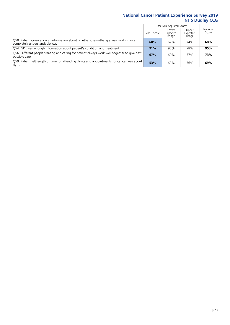|                                                                                                                    |            | Case Mix Adjusted Scores   |                            |                   |
|--------------------------------------------------------------------------------------------------------------------|------------|----------------------------|----------------------------|-------------------|
|                                                                                                                    | 2019 Score | Lower<br>Expected<br>Range | Upper<br>Expected<br>Range | National<br>Score |
| Q50. Patient given enough information about whether chemotherapy was working in a<br>completely understandable way | 60%        | 62%                        | 74%                        | 68%               |
| Q54. GP given enough information about patient's condition and treatment                                           | 91%        | 93%                        | 98%                        | 95%               |
| Q56. Different people treating and caring for patient always work well together to give best<br>possible care      | 67%        | 69%                        | 77%                        | 73%               |
| O59. Patient felt length of time for attending clinics and appointments for cancer was about<br>right              | 53%        | 63%                        | 76%                        | 69%               |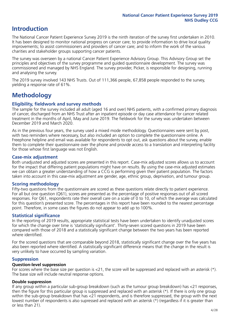# **Introduction**

The National Cancer Patient Experience Survey 2019 is the ninth iteration of the survey first undertaken in 2010. It has been designed to monitor national progress on cancer care; to provide information to drive local quality improvements; to assist commissioners and providers of cancer care; and to inform the work of the various charities and stakeholder groups supporting cancer patients.

The survey was overseen by a national Cancer Patient Experience Advisory Group. This Advisory Group set the principles and objectives of the survey programme and guided questionnaire development. The survey was commissioned and managed by NHS England. The survey provider, Picker, is responsible for designing, running and analysing the survey.

The 2019 survey involved 143 NHS Trusts. Out of 111,366 people, 67,858 people responded to the survey, yielding a response rate of 61%.

# **Methodology**

#### **Eligibility, eldwork and survey methods**

The sample for the survey included all adult (aged 16 and over) NHS patients, with a confirmed primary diagnosis of cancer, discharged from an NHS Trust after an inpatient episode or day case attendance for cancer related treatment in the months of April, May and June 2019. The fieldwork for the survey was undertaken between December 2019 and March 2020.

As in the previous four years, the survey used a mixed mode methodology. Questionnaires were sent by post, with two reminders where necessary, but also included an option to complete the questionnaire online. A Freephone helpline and email was available for respondents to opt out, ask questions about the survey, enable them to complete their questionnaire over the phone and provide access to a translation and interpreting facility for those whose first language was not English.

#### **Case-mix adjustment**

Both unadjusted and adjusted scores are presented in this report. Case-mix adjusted scores allows us to account for the impact that differing patient populations might have on results. By using the case-mix adjusted estimates we can obtain a greater understanding of how a CCG is performing given their patient population. The factors taken into account in this case-mix adjustment are gender, age, ethnic group, deprivation, and tumour group.

#### **Scoring methodology**

Fifty-two questions from the questionnaire are scored as these questions relate directly to patient experience. For all but one question (Q61), scores are presented as the percentage of positive responses out of all scored responses. For Q61, respondents rate their overall care on a scale of 0 to 10, of which the average was calculated for this question's presented score. The percentages in this report have been rounded to the nearest percentage point. Therefore, in some cases the figures do not appear to add up to 100%.

#### **Statistical significance**

In the reporting of 2019 results, appropriate statistical tests have been undertaken to identify unadjusted scores for which the change over time is 'statistically significant'. Thirty-seven scored questions in 2019 have been compared with those of 2018 and a statistically significant change between the two years has been reported where identified.

For the scored questions that are comparable beyond 2018, statistically significant change over the five years has also been reported where identified. A statistically significant difference means that the change in the result is very unlikely to have occurred by sampling variation.

#### **Suppression**

#### **Question-level suppression**

For scores where the base size per question is  $<$ 21, the score will be suppressed and replaced with an asterisk (\*). The base size will include neutral response options.

#### **Double suppression**

If any group within a particular sub-group breakdown (such as the tumour group breakdown) has <21 responses, then the figure for this particular group is suppressed and replaced with an asterisk (\*). If there is only one group within the sub-group breakdown that has <21 respondents, and is therefore suppressed, the group with the next lowest number of respondents is also supressed and replaced with an asterisk (\*) (regardless if it is greater than or less than 21).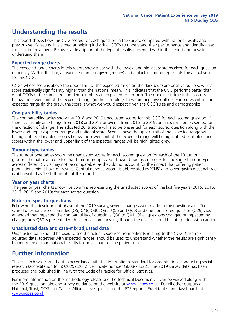# **Understanding the results**

This report shows how this CCG scored for each question in the survey, compared with national results and previous year's results. It is aimed at helping individual CCGs to understand their performance and identify areas for local improvement. Below is a description of the type of results presented within this report and how to understand them.

#### **Expected range charts**

The expected range charts in this report show a bar with the lowest and highest score received for each question nationally. Within this bar, an expected range is given (in grey) and a black diamond represents the actual score for this CCG.

CCGs whose score is above the upper limit of the expected range (in the dark blue) are positive outliers, with a score statistically significantly higher than the national mean. This indicates that the CCG performs better than what CCGs of the same size and demographics are expected to perform. The opposite is true if the score is below the lower limit of the expected range (in the light blue); these are negative outliers. For scores within the expected range (in the grey), the score is what we would expect given the CCG's size and demographics.

#### **Comparability tables**

The comparability tables show the 2018 and 2019 unadjusted scores for this CCG for each scored question. If there is a significant change from 2018 and 2019 or overall from 2015 to 2019, an arrow will be presented for the direction of change. The adjusted 2019 score will also be presented for each scored question along with the lower and upper expected range and national score. Scores above the upper limit of the expected range will be highlighted dark blue, scores below the lower limit of the expected range will be highlighted light blue, and scores within the lower and upper limit of the expected ranges will be highlighted grey.

#### **Tumour type tables**

The tumour type tables show the unadjusted scores for each scored question for each of the 13 tumour groups. The national score for that tumour group is also shown. Unadjusted scores for the same tumour type across different CCGs may not be comparable, as they do not account for the impact that differing patient populations might have on results. Central nervous system is abbreviated as 'CNS' and lower gastrointestinal tract is abbreviated as 'LGT' throughout this report.

#### **Year on year charts**

The year on year charts show five columns representing the unadjusted scores of the last five years (2015, 2016, 2017, 2018 and 2019) for each scored question.

#### **Notes on specific questions**

Following the development phase of the 2019 survey, several changes were made to the questionnaire. Six scored questions were amended (Q5, Q18, Q30, Q35, Q56 and Q60) and one non-scored question (Q29) was amended that impacted the comparability of questions Q30 to Q41. Of all questions changed or impacted by change, only Q60 is presented with historical comparisons; though the results should be interpreted with caution.

#### **Unadjusted data and case-mix adjusted data**

Unadjusted data should be used to see the actual responses from patients relating to the CCG. Case-mix adjusted data, together with expected ranges, should be used to understand whether the results are significantly higher or lower than national results taking account of the patient mix.

### **Further information**

This research was carried out in accordance with the international standard for organisations conducting social research (accreditation to ISO20252:2012; certificate number GB08/74322). The 2019 survey data has been produced and published in line with the Code of Practice for Official Statistics.

For more information on the methodology, please see the Technical Document. It can be viewed along with the 2019 questionnaire and survey quidance on the website at [www.ncpes.co.uk](https://www.ncpes.co.uk/supporting-documents). For all other outputs at National, Trust, CCG and Cancer Alliance level, please see the PDF reports, Excel tables and dashboards at [www.ncpes.co.uk.](https://www.ncpes.co.uk/current-results)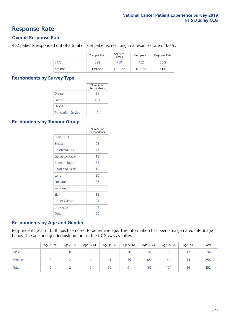### **Response Rate**

#### **Overall Response Rate**

452 patients responded out of a total of 759 patients, resulting in a response rate of 60%.

|            | Sample Size | Adjusted<br>Sample | Completed | Response Rate |
|------------|-------------|--------------------|-----------|---------------|
| <b>CCG</b> | 828         | 759                | 452       | 60%           |
| National   | 119.855     | 111.366            | 67.858    | 61%           |

#### **Respondents by Survey Type**

|                            | Number of<br>Respondents |
|----------------------------|--------------------------|
| Online                     | 51                       |
| Paper                      | 401                      |
| Phone                      |                          |
| <b>Translation Service</b> |                          |

#### **Respondents by Tumour Group**

|                      | Number of<br>Respondents |
|----------------------|--------------------------|
| Brain / CNS          | $\mathcal{P}$            |
| <b>Breast</b>        | 98                       |
| Colorectal / LGT     | 71                       |
| Gynaecological       | 18                       |
| Haematological       | 61                       |
| <b>Head and Neck</b> | 10                       |
| Lung                 | 20                       |
| Prostate             | 27                       |
| Sarcoma              | 5                        |
| Skin                 | 15                       |
| Upper Gastro         | 24                       |
| Urological           | 32                       |
| Other                | 69                       |

#### **Respondents by Age and Gender**

Respondents year of birth has been used to determine age. This information has been amalgamated into 8 age bands. The age and gender distribution for the CCG was as follows:

|        | Age 16-24 | Age 25-34 | Age 35-44 | Age 45-54 | Age 55-64 | Age 65-74 | Age 75-84 | Age 85+   | Total |
|--------|-----------|-----------|-----------|-----------|-----------|-----------|-----------|-----------|-------|
| Male   |           |           |           |           | 36        | 74        | 60        | 12<br>1 Z | 194   |
| Female |           |           | 14        | 41        | 55        | 88        | 44        | 14        | 258   |
| Total  |           |           |           | 50        | 91        | 162       | 104       | 26        | 452   |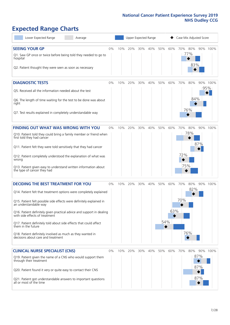# **Expected Range Charts**

| Lower Expected Range<br>Average                                                                                                                                                                                                                                                                                                                                                                                                                                                                                             |       |     | Upper Expected Range |     |     |            |            | Case Mix Adjusted Score |                   |                   |                 |
|-----------------------------------------------------------------------------------------------------------------------------------------------------------------------------------------------------------------------------------------------------------------------------------------------------------------------------------------------------------------------------------------------------------------------------------------------------------------------------------------------------------------------------|-------|-----|----------------------|-----|-----|------------|------------|-------------------------|-------------------|-------------------|-----------------|
| <b>SEEING YOUR GP</b><br>Q1. Saw GP once or twice before being told they needed to go to<br>hospital<br>Q2. Patient thought they were seen as soon as necessary                                                                                                                                                                                                                                                                                                                                                             | $0\%$ | 10% | 20%                  | 30% | 40% | 50%        | 60%        | 70%                     | 80%<br>77%<br>83% |                   | 90% 100%        |
| <b>DIAGNOSTIC TESTS</b><br>Q5. Received all the information needed about the test<br>Q6. The length of time waiting for the test to be done was about<br>right<br>Q7. Test results explained in completely understandable way                                                                                                                                                                                                                                                                                               | $0\%$ | 10% | 20%                  | 30% | 40% | 50%        | 60%        | 70%                     | 80%<br>84%<br>76% |                   | 90% 100%<br>95% |
| <b>FINDING OUT WHAT WAS WRONG WITH YOU</b><br>Q10. Patient told they could bring a family member or friend when<br>first told they had cancer<br>Q11. Patient felt they were told sensitively that they had cancer<br>Q12. Patient completely understood the explanation of what was<br>wrong<br>Q13. Patient given easy to understand written information about<br>the type of cancer they had                                                                                                                             | $0\%$ | 10% | 20%                  | 30% | 40% | 50%        | 60%        | 70%<br>72%<br>75%       | 80%<br>78%        | 90%<br>87%        | 100%            |
| <b>DECIDING THE BEST TREATMENT FOR YOU</b><br>Q14. Patient felt that treatment options were completely explained<br>Q15. Patient felt possible side effects were definitely explained in<br>an understandable way<br>Q16. Patient definitely given practical advice and support in dealing<br>with side effects of treatment<br>Q17. Patient definitely told about side effects that could affect<br>them in the future<br>Q18. Patient definitely involved as much as they wanted in<br>decisions about care and treatment | $0\%$ | 10% | 20%                  | 30% | 40% | 50%<br>54% | 60%<br>63% | 70%<br>70%              | 80%<br>82%<br>76% |                   | 90% 100%        |
| <b>CLINICAL NURSE SPECIALIST (CNS)</b><br>Q19. Patient given the name of a CNS who would support them<br>through their treatment<br>Q20. Patient found it very or quite easy to contact their CNS<br>Q21. Patient got understandable answers to important questions<br>all or most of the time                                                                                                                                                                                                                              | $0\%$ | 10% | 20%                  | 30% | 40% | 50%        | 60%        | 70%                     | 80%               | 87%<br>87%<br>87% | 90% 100%        |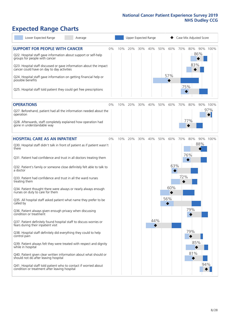# **Expected Range Charts**

| Lower Expected Range<br>Average                                                                                                                                                       |     |     |     | Upper Expected Range |     |     |     | Case Mix Adjusted Score |          |
|---------------------------------------------------------------------------------------------------------------------------------------------------------------------------------------|-----|-----|-----|----------------------|-----|-----|-----|-------------------------|----------|
| <b>SUPPORT FOR PEOPLE WITH CANCER</b><br>0%<br>Q22. Hospital staff gave information about support or self-help<br>groups for people with cancer                                       | 10% | 20% | 30% | 40%                  | 50% | 60% | 70% | 80%<br>86%<br>83%       | 90% 100% |
| Q23. Hospital staff discussed or gave information about the impact<br>cancer could have on day to day activities<br>Q24. Hospital staff gave information on getting financial help or |     |     |     |                      |     | 57% |     |                         |          |
| possible benefits<br>Q25. Hospital staff told patient they could get free prescriptions                                                                                               |     |     |     |                      |     |     | 75% |                         |          |
| <b>OPERATIONS</b><br>0%                                                                                                                                                               | 10% | 20% | 30% | 40%                  | 50% | 60% | 70% | 80%                     | 90% 100% |
| Q27. Beforehand, patient had all the information needed about the<br>operation                                                                                                        |     |     |     |                      |     |     |     |                         | 97%      |
| Q28. Afterwards, staff completely explained how operation had<br>gone in understandable way                                                                                           |     |     |     |                      |     |     |     | 77%                     |          |
| <b>HOSPITAL CARE AS AN INPATIENT</b><br>0%                                                                                                                                            | 10% | 20% | 30% | 40%                  | 50% | 60% | 70% | 80%                     | 90% 100% |
| Q30. Hospital staff didn't talk in front of patient as if patient wasn't<br>there                                                                                                     |     |     |     |                      |     |     |     | 88%                     |          |
| Q31. Patient had confidence and trust in all doctors treating them                                                                                                                    |     |     |     |                      |     |     |     | 76%                     |          |
| Q32. Patient's family or someone close definitely felt able to talk to<br>a doctor                                                                                                    |     |     |     |                      |     | 63% |     |                         |          |
| Q33. Patient had confidence and trust in all the ward nurses<br>treating them                                                                                                         |     |     |     |                      |     |     | 72% |                         |          |
| Q34. Patient thought there were always or nearly always enough<br>nurses on duty to care for them                                                                                     |     |     |     |                      |     | 60% |     |                         |          |
| Q35. All hospital staff asked patient what name they prefer to be<br>called by                                                                                                        |     |     |     |                      |     | 56% |     |                         |          |
| Q36. Patient always given enough privacy when discussing<br>condition or treatment                                                                                                    |     |     |     |                      |     |     |     | 79%                     |          |
| Q37. Patient definitely found hospital staff to discuss worries or<br>fears during their inpatient visit                                                                              |     |     |     | 44%                  |     |     |     |                         |          |
| Q38. Hospital staff definitely did everything they could to help<br>control pain                                                                                                      |     |     |     |                      |     |     |     | 79%                     |          |
| Q39. Patient always felt they were treated with respect and dignity<br>while in hospital                                                                                              |     |     |     |                      |     |     |     | 85%                     |          |
| Q40. Patient given clear written information about what should or<br>should not do after leaving hospital                                                                             |     |     |     |                      |     |     |     | 81%                     |          |
| Q41. Hospital staff told patient who to contact if worried about<br>condition or treatment after leaving hospital                                                                     |     |     |     |                      |     |     |     |                         | 94%      |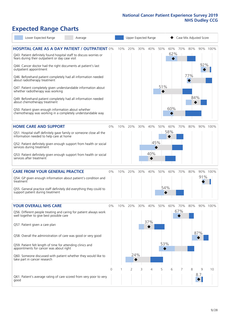# **Expected Range Charts**

| Lower Expected Range<br>Average                                                                                                                                                | Upper Expected Range |     |     |     |     |          |                 | Case Mix Adjusted Score |     |                  |          |  |
|--------------------------------------------------------------------------------------------------------------------------------------------------------------------------------|----------------------|-----|-----|-----|-----|----------|-----------------|-------------------------|-----|------------------|----------|--|
| <b>HOSPITAL CARE AS A DAY PATIENT / OUTPATIENT 0%</b><br>Q43. Patient definitely found hospital staff to discuss worries or<br>fears during their outpatient or day case visit |                      | 10% | 20% | 30% | 40% | 50%      | 60%<br>62%<br>◆ | 70%                     | 80% |                  | 90% 100% |  |
| Q44. Cancer doctor had the right documents at patient's last<br>outpatient appointment                                                                                         |                      |     |     |     |     |          |                 |                         |     | 92%              |          |  |
| Q46. Beforehand patient completely had all information needed<br>about radiotherapy treatment                                                                                  |                      |     |     |     |     |          |                 |                         | 77% |                  |          |  |
| Q47. Patient completely given understandable information about<br>whether radiotherapy was working                                                                             |                      |     |     |     |     | 51%      |                 |                         |     |                  |          |  |
| Q49. Beforehand patient completely had all information needed<br>about chemotherapy treatment                                                                                  |                      |     |     |     |     |          |                 |                         | 84% |                  |          |  |
| Q50. Patient given enough information about whether<br>chemotherapy was working in a completely understandable way                                                             |                      |     |     |     |     |          | 60%             |                         |     |                  |          |  |
| <b>HOME CARE AND SUPPORT</b>                                                                                                                                                   | 0%                   | 10% | 20% | 30% | 40% | 50%      | 60%             | 70%                     | 80% |                  | 90% 100% |  |
| Q51. Hospital staff definitely gave family or someone close all the<br>information needed to help care at home                                                                 |                      |     |     |     |     |          | 58%             |                         |     |                  |          |  |
| Q52. Patient definitely given enough support from health or social<br>services during treatment                                                                                |                      |     |     |     | 45% |          |                 |                         |     |                  |          |  |
| Q53. Patient definitely given enough support from health or social<br>services after treatment                                                                                 |                      |     |     |     | 40% |          |                 |                         |     |                  |          |  |
| <b>CARE FROM YOUR GENERAL PRACTICE</b>                                                                                                                                         | $0\%$                | 10% | 20% | 30% | 40% | 50%      | 60%             | 70%                     | 80% |                  | 90% 100% |  |
| Q54. GP given enough information about patient's condition and<br>treatment                                                                                                    |                      |     |     |     |     |          |                 |                         |     | 91%              |          |  |
| Q55. General practice staff definitely did everything they could to<br>support patient during treatment                                                                        |                      |     |     |     |     | 54%<br>♦ |                 |                         |     |                  |          |  |
| <b>YOUR OVERALL NHS CARE</b>                                                                                                                                                   | $0\%$                | 10% | 20% | 30% | 40% |          | 50% 60%         | 70%                     | 80% |                  | 90% 100% |  |
| Q56. Different people treating and caring for patient always work<br>well together to give best possible care                                                                  |                      |     |     |     |     |          |                 | 67%                     |     |                  |          |  |
| Q57. Patient given a care plan                                                                                                                                                 |                      |     |     |     | 37% |          |                 |                         |     |                  |          |  |
| Q58. Overall the administration of care was good or very good                                                                                                                  |                      |     |     |     |     |          |                 |                         |     | 87%              |          |  |
| Q59. Patient felt length of time for attending clinics and<br>appointments for cancer was about right                                                                          |                      |     |     |     |     | 53%      |                 |                         |     |                  |          |  |
| Q60. Someone discussed with patient whether they would like to<br>take part in cancer research                                                                                 |                      |     | 24% |     |     |          |                 |                         |     |                  |          |  |
|                                                                                                                                                                                | 0                    |     | 2   | 3   | ⊿   | 5        | 6               |                         | 8   | 9                | 10       |  |
| Q61. Patient's average rating of care scored from very poor to very<br>good                                                                                                    |                      |     |     |     |     |          |                 |                         |     | 8.7 <sub>1</sub> |          |  |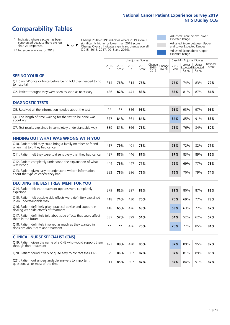# **Comparability Tables**

\* Indicates where a score has been suppressed because there are less than 21 responses.

\*\* No score available for 2018.

 $\triangle$  or  $\nabla$ 

Change 2018-2019: Indicates where 2019 score is significantly higher or lower than 2018 score Change Overall: Indicates significant change overall (2015, 2016, 2017, 2018 and 2019).

Adjusted Score below Lower Expected Range Adjusted Score between Upper and Lower Expected Ranges Adjusted Score above Upper Expected Range

|                                                                             | Case Mix Adjusted Scores<br>Unadjusted Scores |               |           |               |                         |                   |               |                |                                            |                   |
|-----------------------------------------------------------------------------|-----------------------------------------------|---------------|-----------|---------------|-------------------------|-------------------|---------------|----------------|--------------------------------------------|-------------------|
|                                                                             | 2018<br>n                                     | 2018<br>Score | 2019<br>n | 2019<br>Score | Change<br>2018-<br>2019 | Change<br>Overall | 2019<br>Score | Lower<br>Range | Upper<br><b>Expected Expected</b><br>Range | National<br>Score |
| <b>SEEING YOUR GP</b>                                                       |                                               |               |           |               |                         |                   |               |                |                                            |                   |
| Q1. Saw GP once or twice before being told they needed to go<br>to hospital | 314                                           | 76%           | 314       | 76%           |                         |                   | <b>77%</b>    | 74%            | 83%                                        | 79%               |
| Q2. Patient thought they were seen as soon as necessary                     | 436                                           | 82%           | 441       | 83%           |                         |                   | 83%           | 81%            | 87%                                        | 84%               |
| <b>DIAGNOSTIC TESTS</b>                                                     |                                               |               |           |               |                         |                   |               |                |                                            |                   |

| ----------------                                                          |      |     |     |     |  |     |     |     |     |
|---------------------------------------------------------------------------|------|-----|-----|-----|--|-----|-----|-----|-----|
| Q5. Received all the information needed about the test                    | $**$ | **  | 356 | 95% |  | 95% | 93% | 97% | 95% |
| Q6. The length of time waiting for the test to be done was<br>about right |      | 84% | 361 | 84% |  | 84% | 85% | 91% | 88% |
| Q7. Test results explained in completely understandable way               | 389  | 81% | 366 | 76% |  | 76% | 76% | 84% | 80% |

| <b>FINDING OUT WHAT WAS WRONG WITH YOU</b>                                                      |     |     |     |     |     |     |     |     |
|-------------------------------------------------------------------------------------------------|-----|-----|-----|-----|-----|-----|-----|-----|
| Q10. Patient told they could bring a family member or friend<br>when first told they had cancer | 417 | 79% | 401 | 78% | 78% | 72% | 82% | 77% |
| Q11. Patient felt they were told sensitively that they had cancer                               | 437 | 87% | 446 | 87% | 87% | 83% | 89% | 86% |
| Q12. Patient completely understood the explanation of what<br>was wrong                         | 444 | 76% | 447 | 71% | 72% | 69% | 77% | 73% |
| Q13. Patient given easy to understand written information<br>about the type of cancer they had  | 382 | 78% | 396 | 73% | 75% | 70% | 79% | 74% |

| <b>DECIDING THE BEST TREATMENT FOR YOU</b>                                                              |      |     |     |     |     |     |     |     |
|---------------------------------------------------------------------------------------------------------|------|-----|-----|-----|-----|-----|-----|-----|
| Q14. Patient felt that treatment options were completely<br>explained                                   | 379  | 82% | 397 | 82% | 82% | 80% | 87% | 83% |
| Q15. Patient felt possible side effects were definitely explained<br>in an understandable way           | 418  | 74% | 430 | 70% | 70% | 69% | 77% | 73% |
| Q16. Patient definitely given practical advice and support in<br>dealing with side effects of treatment | 418  | 65% | 426 | 63% | 63% | 63% | 72% | 67% |
| Q17. Patient definitely told about side effects that could affect<br>them in the future                 | 387  | 57% | 399 | 54% | 54% | 52% | 62% | 57% |
| Q18. Patient definitely involved as much as they wanted in<br>decisions about care and treatment        | $**$ | **  | 436 | 76% | 76% | 77% | 85% | 81% |

| <b>CLINICAL NURSE SPECIALIST (CNS)</b>                                                    |     |     |     |     |     |     |     |     |
|-------------------------------------------------------------------------------------------|-----|-----|-----|-----|-----|-----|-----|-----|
| Q19. Patient given the name of a CNS who would support them<br>through their treatment    | 427 | 88% | 420 | 86% | 87% | 89% | 95% | 92% |
| Q20. Patient found it very or quite easy to contact their CNS                             | 329 | 86% | 307 | 87% | 87% | 81% | 89% | 85% |
| Q21. Patient got understandable answers to important<br>questions all or most of the time |     | 85% | 307 | 87% | 87% | 84% | 91% | 87% |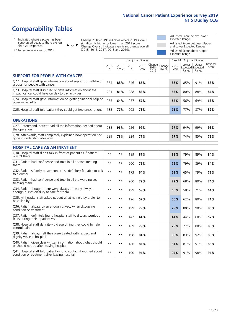# **Comparability Tables**

\* Indicates where a score has been suppressed because there are less than 21 responses.

\*\* No score available for 2018.

 $\triangle$  or  $\nabla$ 

Change 2018-2019: Indicates where 2019 score is significantly higher or lower than 2018 score Change Overall: Indicates significant change overall (2015, 2016, 2017, 2018 and 2019).

Adjusted Score below Lower Expected Range Adjusted Score between Upper and Lower Expected Ranges Adjusted Score above Upper Expected Range

|                                                                                                                   |              |               |           | <b>Unadjusted Scores</b> |                         |                   |               | Case Mix Adjusted Scores            |                |                   |
|-------------------------------------------------------------------------------------------------------------------|--------------|---------------|-----------|--------------------------|-------------------------|-------------------|---------------|-------------------------------------|----------------|-------------------|
|                                                                                                                   | 2018<br>n    | 2018<br>Score | 2019<br>n | 2019<br>Score            | Change<br>2018-<br>2019 | Change<br>Overall | 2019<br>Score | Lower<br>Expected Expected<br>Range | Upper<br>Range | National<br>Score |
| <b>SUPPORT FOR PEOPLE WITH CANCER</b>                                                                             |              |               |           |                          |                         |                   |               |                                     |                |                   |
| Q22. Hospital staff gave information about support or self-help<br>groups for people with cancer                  | 354          | 88%           | 346       | 86%                      |                         |                   | 86%           | 85%                                 | 91%            | 88%               |
| Q23. Hospital staff discussed or gave information about the<br>impact cancer could have on day to day activities  | 281          | 81%           | 288       | 83%                      |                         |                   | 83%           | 80%                                 | 88%            | 84%               |
| Q24. Hospital staff gave information on getting financial help or<br>possible benefits                            | 255          | 64%           | 257       | 57%                      |                         |                   | 57%           | 56%                                 | 69%            | 63%               |
| Q25. Hospital staff told patient they could get free prescriptions                                                | 183          | 77%           | 203       | 73%                      |                         |                   | 75%           | 77%                                 | 87%            | 82%               |
| <b>OPERATIONS</b>                                                                                                 |              |               |           |                          |                         |                   |               |                                     |                |                   |
| Q27. Beforehand, patient had all the information needed about<br>the operation                                    | 238          | 96%           | 226       | 97%                      |                         |                   | 97%           | 94%                                 | 99%            | 96%               |
| Q28. Afterwards, staff completely explained how operation had<br>gone in understandable way                       | 239          | 78%           | 224       | 77%                      |                         |                   | 77%           | 74%                                 | 85%            | 79%               |
| <b>HOSPITAL CARE AS AN INPATIENT</b>                                                                              |              |               |           |                          |                         |                   |               |                                     |                |                   |
| Q30. Hospital staff didn't talk in front of patient as if patient<br>wasn't there                                 | $**$         | **            | 199       | 87%                      |                         |                   | 88%           | 79%                                 | 89%            | 84%               |
| Q31. Patient had confidence and trust in all doctors treating<br>them                                             | $\star\star$ | **            | 200       | 76%                      |                         |                   | 76%           | 79%                                 | 89%            | 84%               |
| Q32. Patient's family or someone close definitely felt able to talk<br>to a doctor                                | $\star\star$ | **            | 173       | 64%                      |                         |                   | 63%           | 65%                                 | 79%            | 72%               |
| Q33. Patient had confidence and trust in all the ward nurses<br>treating them                                     | $\star\star$ | **            | 200       | 72%                      |                         |                   | 72%           | 68%                                 | 80%            | 74%               |
| Q34. Patient thought there were always or nearly always<br>enough nurses on duty to care for them                 | $**$         | $***$         | 199       | 59%                      |                         |                   | 60%           | 58%                                 | 71%            | 64%               |
| Q35. All hospital staff asked patient what name they prefer to<br>be called by                                    | $**$         | **            | 196       | 57%                      |                         |                   | 56%           | 62%                                 | 80%            | 71%               |
| Q36. Patient always given enough privacy when discussing<br>condition or treatment                                | $\star\star$ | **            | 199       | 79%                      |                         |                   | 79%           | 80%                                 | 90%            | 85%               |
| Q37. Patient definitely found hospital staff to discuss worries or<br>fears during their inpatient visit          | $\star\star$ | **            | 147       | 44%                      |                         |                   | 44%           | 44%                                 | 60%            | 52%               |
| Q38. Hospital staff definitely did everything they could to help<br>control pain                                  | $\star\star$ | **            | 169       | 79%                      |                         |                   | 79%           | 77%                                 | 88%            | 83%               |
| Q39. Patient always felt they were treated with respect and<br>dignity while in hospital                          | $\star\star$ | **            | 198       | 84%                      |                         |                   | 85%           | 83%                                 | 92%            | 88%               |
| Q40. Patient given clear written information about what should<br>or should not do after leaving hospital         | $**$         | **            | 186       | 81%                      |                         |                   | 81%           | 81%                                 | 91%            | 86%               |
| Q41. Hospital staff told patient who to contact if worried about<br>condition or treatment after leaving hospital | $**$         | **            | 190       | 94%                      |                         |                   | 94%           | 91%                                 | 98%            | 94%               |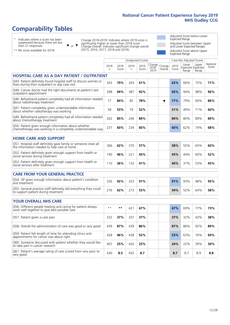# **Comparability Tables**

\* Indicates where a score has been suppressed because there are less than 21 responses.

\*\* No score available for 2018.

or  $\blacktriangledown$  $\blacktriangle$ 

Change 2018-2019: Indicates where 2019 score is significantly higher or lower than 2018 score Change Overall: Indicates significant change overall (2015, 2016, 2017, 2018 and 2019).

Adjusted Score below Lower Expected Range Adjusted Score between Upper and Lower Expected Ranges Adjusted Score above Upper

|                                                                                                                       |              |               |                          |               |                         |                   | <b>Expected Range</b> |                          |                                     |                   |
|-----------------------------------------------------------------------------------------------------------------------|--------------|---------------|--------------------------|---------------|-------------------------|-------------------|-----------------------|--------------------------|-------------------------------------|-------------------|
|                                                                                                                       |              |               | <b>Unadjusted Scores</b> |               |                         |                   |                       | Case Mix Adjusted Scores |                                     |                   |
|                                                                                                                       | 2018<br>n    | 2018<br>Score | 2019<br>n                | 2019<br>Score | Change<br>2018-<br>2019 | Change<br>Overall | 2019<br>Score         | Lower<br>Range           | Upper<br>Expected Expected<br>Range | National<br>Score |
| HOSPITAL CARE AS A DAY PATIENT / OUTPATIENT                                                                           |              |               |                          |               |                         |                   |                       |                          |                                     |                   |
| Q43. Patient definitely found hospital staff to discuss worries or<br>fears during their outpatient or day case visit | 343          | 70%           | 343                      | 61%           |                         |                   | 62%                   | 66%                      | 75%                                 | 71%               |
| Q44. Cancer doctor had the right documents at patient's last<br>outpatient appointment                                | 398          | 94%           | 387                      | 92%           |                         |                   | 92%                   | 94%                      | 98%                                 | 96%               |
| Q46. Beforehand patient completely had all information needed<br>about radiotherapy treatment                         | 77           | 84%           | 85                       | 78%           |                         | ▼                 | 77%                   | 79%                      | 94%                                 | 86%               |
| Q47. Patient completely given understandable information<br>about whether radiotherapy was working                    | 58           | 53%           | 79                       | 52%           |                         |                   | 51%                   | 49%                      | 71%                                 | 60%               |
| Q49. Beforehand patient completely had all information needed<br>about chemotherapy treatment                         | 262          | 85%           | 246                      | 84%           |                         |                   | 84%                   | 80%                      | 89%                                 | 84%               |
| Q50. Patient given enough information about whether<br>chemotherapy was working in a completely understandable way    | 237          | 60%           | 234                      | 60%           |                         |                   | 60%                   | 62%                      | 74%                                 | 68%               |
| <b>HOME CARE AND SUPPORT</b>                                                                                          |              |               |                          |               |                         |                   |                       |                          |                                     |                   |
| Q51. Hospital staff definitely gave family or someone close all<br>the information needed to help care at home        | 366          | 62%           | 370                      | 57%           |                         |                   | 58%                   | 55%                      | 65%                                 | 60%               |
| Q52. Patient definitely given enough support from health or<br>social services during treatment                       | 190          | 46%           | 221                      | 45%           |                         |                   | 45%                   | 44%                      | 60%                                 | 52%               |
| Q53. Patient definitely given enough support from health or<br>social services after treatment                        | 110          | 36%           | 133                      | 41%           |                         |                   | 40%                   | 37%                      | 53%                                 | 45%               |
| <b>CARE FROM YOUR GENERAL PRACTICE</b>                                                                                |              |               |                          |               |                         |                   |                       |                          |                                     |                   |
| Q54. GP given enough information about patient's condition<br>and treatment                                           | 326          | 92%           | 323                      | 91%           |                         |                   | 91%                   | 93%                      | 98%                                 | 95%               |
| Q55. General practice staff definitely did everything they could<br>to support patient during treatment               | 276          | 62%           | 273                      | 53%           |                         |                   | 54%                   | 52%                      | 64%                                 | 58%               |
| <b>YOUR OVERALL NHS CARE</b>                                                                                          |              |               |                          |               |                         |                   |                       |                          |                                     |                   |
| Q56. Different people treating and caring for patient always<br>work well together to give best possible care         | $\star\star$ | **            | 421                      | 67%           |                         |                   | 67%                   | 69%                      | 77%                                 | 73%               |
| Q57. Patient given a care plan                                                                                        | 332          | 37%           | 337                      | 37%           |                         |                   | 37%                   | 32%                      | 43%                                 | 38%               |
| Q58. Overall the administration of care was good or very good                                                         | 439          | 87%           | 439                      | 86%           |                         |                   | 87%                   | 86%                      | 92%                                 | 89%               |
| Q59. Patient felt length of time for attending clinics and<br>appointments for cancer was about right                 | 428          | 46%           | 438                      | 52%           |                         |                   | 53%                   | 63%                      | 76%                                 | 69%               |
| Q60. Someone discussed with patient whether they would like<br>to take part in cancer research                        | 407          | 25%           | 420                      | 25%           |                         |                   | 24%                   | 22%                      | 39%                                 | 30%               |
| Q61. Patient's average rating of care scored from very poor to<br>very good                                           | 430          | 8.5           | 432                      | 8.7           |                         |                   | 8.7                   | 8.7                      | 8.9                                 | 8.8               |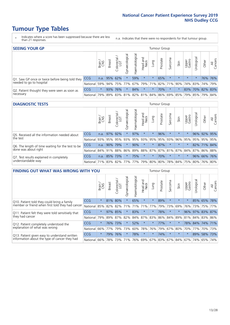- \* Indicates where a score has been suppressed because there are less than 21 responses.
- n.a. Indicates that there were no respondents for that tumour group.

| <b>SEEING YOUR GP</b>                           |              |              |                |                                     |                   |                |                  |         | Tumour Group |         |         |                 |                                                 |       |                |
|-------------------------------------------------|--------------|--------------|----------------|-------------------------------------|-------------------|----------------|------------------|---------|--------------|---------|---------|-----------------|-------------------------------------------------|-------|----------------|
|                                                 |              | Brain<br>CNS | <b>Breast</b>  | Colorectal<br>LGT                   | ত<br>Gynaecologic | Haematological | Head and<br>Neck | Lung    | Prostate     | Sarcoma | Skin    | Upper<br>Gastro | $\sigma$<br>Jrologica                           | Other | All<br>Cancers |
| Q1. Saw GP once or twice before being told they | <b>CCG</b>   |              | $n.a.$ 95% 62% |                                     |                   | 59%            | $\star$          | $\star$ | 65%          | $\star$ | $\star$ | $\star$         |                                                 |       | 76% 76%        |
| needed to go to hospital                        | National 59% |              |                | 94% 75% 77% 67% 79% 71% 82% 71% 90% |                   |                |                  |         |              |         |         |                 | 74% 83% 74% 79%                                 |       |                |
| Q2. Patient thought they were seen as soon as   | <b>CCG</b>   | $\star$      |                | 93% 76%                             | $\star$           | 84%            | $\star$          | $\star$ | 70%          | $\star$ |         |                 | 83% 70% 82% 83%                                 |       |                |
| necessary                                       | National I   | 79%          |                |                                     |                   |                |                  |         |              |         |         |                 | 89% 83% 81% 82% 81% 84% 86% 69% 85% 79% 85% 79% |       | 84%            |

#### **DIAGNOSTIC TESTS** Tumour Group

|                                                   |                                                                  | Brain | <b>Breast</b> | Colorectal<br>LGT | Gynaecologica | ᠊ᢛ<br>aematologic | Head and<br>Neck | Lung    | Prostate | Sarcoma | Skin    | Upper<br>Gastro                                     | rological | Other       | All<br>Cancers |
|---------------------------------------------------|------------------------------------------------------------------|-------|---------------|-------------------|---------------|-------------------|------------------|---------|----------|---------|---------|-----------------------------------------------------|-----------|-------------|----------------|
| Q5. Received all the information needed about     | <b>CCG</b>                                                       | n.a.  |               | 97% 92%           |               | 97%               | $\star$          |         | 96%      | $\star$ | $\star$ | $\star$                                             |           | 96% 92% 95% |                |
| the test                                          | National                                                         | 93%   |               | 95% 95%           | 93%           | 95%               | 93% 95% 95% 93%  |         |          |         |         | 96% 95%                                             | 95%       | 95%         | 95%            |
| Q6. The length of time waiting for the test to be | <b>CCG</b>                                                       | n.a.  | 90%           | 79%               |               | 90%               | $\star$          | $\star$ | 87%      | $\star$ | $\star$ | $\star$                                             |           | 82% 71%     | 84%            |
| done was about right                              | National 84% 91% 88% 86%                                         |       |               |                   |               |                   |                  |         |          |         |         | 89%   88%   87%   87%   81%   87%   84%   87%   86% |           |             | 88%            |
| Q7. Test results explained in completely          | <b>CCG</b>                                                       | n.a.  |               | 85% 73%           |               | 75%               | $\star$          | $\star$ | 70%      | $\star$ | $\star$ |                                                     |           |             | 96% 66% 76%    |
| understandable way                                | National 71% 83% 82% 77% 77% 79% 80% 80% 78% 84% 75% 80% 76% 80% |       |               |                   |               |                   |                  |         |          |         |         |                                                     |           |             |                |

| <b>FINDING OUT WHAT WAS WRONG WITH YOU</b>        |          |         |               |                        |                |                |                        |                     | Tumour Group |         |         |                 |             |             |                |
|---------------------------------------------------|----------|---------|---------------|------------------------|----------------|----------------|------------------------|---------------------|--------------|---------|---------|-----------------|-------------|-------------|----------------|
|                                                   |          | Brain   | <b>Breast</b> | olorectal.<br>LGT<br>Ū | Gynaecological | Haematological | ad and<br>Neck<br>Head | Lung                | Prostate     | Sarcoma | Skin    | Upper<br>Gastro | Irological  | Other       | All<br>Cancers |
| Q10. Patient told they could bring a family       | CCG      | $\star$ | 81%           | 80%                    |                | 65%            | $\star$                | $\star$             | 89%          | $\star$ | $\star$ | $\star$         | 85%         | 65%         | 78%            |
| member or friend when first told they had cancer  | National | 85%     | 82%           | 82%                    | 71%            | 71%            | 71%                    | 77%                 | 79%          | 73%     | 69%     | 76%             | 73%         | 75%         | 77%            |
| Q11. Patient felt they were told sensitively that | CCG      | $\star$ | 97%           | 85%                    |                | 83%            | $\star$                | $\star$             | 78%          | $\ast$  | 大       | 96%             | 97%         | 83%         | 87%            |
| they had cancer                                   | National | 79%     |               | 89% 87%                | 82%            |                | 84% 87%                | 83%                 | 86%          | 84%     | 89%     |                 | 81% 84% 83% |             | 86%            |
| Q12. Patient completely understood the            | CCG      | $\star$ | 76%           | 73%                    |                | 52%            | $^\star$               | $\star$             | 77%          | $\ast$  | 大       | 78%             |             | 84% 74% 71% |                |
| explanation of what was wrong                     | National | 66%     | 77%           | 79%                    | 73%            | 60%            | 78%                    | 76%                 | 79%          | 67%     | 80%     | 70%             | 77%         | 70%         | 73%            |
| Q13. Patient given easy to understand written     | CCG      | $\star$ | 79%           | 76%                    |                | 78%            | $\star$                | $\star$             | 74%          | $\ast$  | $\star$ | $\star$         | 89%         | 58%         | 73%            |
| information about the type of cancer they had     | National | 66%     | 78%           | 73%                    | 71%            | 76%            |                        | 69% 67% 83% 67% 84% |              |         |         | 67%             | 74%         | 65%         | 74%            |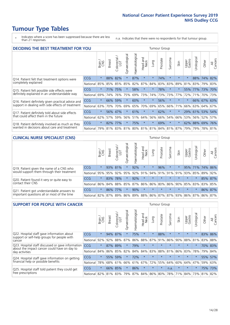- \* Indicates where a score has been suppressed because there are less than 21 responses.
- n.a. Indicates that there were no respondents for that tumour group.

| <b>DECIDING THE BEST TREATMENT FOR YOU</b>         |          |         |               |                        |                                     |                |                         |         | <b>Tumour Group</b> |              |         |                 |            |         |                |
|----------------------------------------------------|----------|---------|---------------|------------------------|-------------------------------------|----------------|-------------------------|---------|---------------------|--------------|---------|-----------------|------------|---------|----------------|
|                                                    |          | Brain   | <b>Breast</b> | olorectal.<br>LGT<br>Ũ | Gynaecological                      | Haematological | ead and<br>Neck<br>Head | Lung    | Prostate            | arcoma<br>vĀ | Skin    | Upper<br>Gastro | Jrological | Other   | All<br>Cancers |
| Q14. Patient felt that treatment options were      | CCG      | $\star$ | 88%           | 82%                    | $\star$                             | 87%            | $\star$                 | $\star$ | 74%                 | $\star$      | $\star$ | $\star$         | 88%        | 74%     | 82%            |
| completely explained                               | National | 85%     | 85%           | 85%                    | 85%                                 | 82%            | 87%                     | 84%     | 83%                 | 83%          | 89%     | 81%             |            | 83% 79% | 83%            |
| Q15. Patient felt possible side effects were       | CCG      | $\star$ | 71%           | 75%                    | $\star$                             | 58%            | $\star$                 | $\star$ | 78%                 | $\star$      |         | 55%             | 77%        | 73%     | 70%            |
| definitely explained in an understandable way      | National | 69%     | 74%           | 76%                    | 75%                                 | 69%            | 73%                     | 74%     | 73%                 | 73%          | 77%     | 72%             | 71%        | 70%     | 73%            |
| Q16. Patient definitely given practical advice and | CCG      | $\star$ | 66%           | 59%                    | $\star$                             | 60%            | $\star$                 | $\star$ | 56%                 | $\star$      | $\star$ | $\star$         |            | 66% 67% | 63%            |
| support in dealing with side effects of treatment  | National | 63%     | 70%           | 70%                    | 69%                                 | 65%            | 70%                     | 69%     | 65%                 | 66%          | 71%     | 66%             |            | 63% 64% | 67%            |
| Q17. Patient definitely told about side effects    | CCG      | $\star$ | 56%           | 47%                    | $\star$                             | 61%            | $\star$                 | $\star$ | 62%                 | $^\star$     |         | 29%             | 61% 53%    |         | 54%            |
| that could affect them in the future               | National | 62%     | 57%           | 59%                    | 56%                                 | 51%            | 64%                     | 56%     | 66%                 | 54%          | 66%     | 53%             |            | 56% 52% | 57%            |
| Q18. Patient definitely involved as much as they   | CCG      | $\star$ | 82%           | 77%                    | $\star$                             | 75%            | $\star$                 | $\star$ | 69%                 | $\star$      |         | 62%             | 88%        | 69%     | 76%            |
| wanted in decisions about care and treatment       | National | 79%     |               |                        | 81% 83% 81% 80% 81% 81% 84% 81% 87% |                |                         |         |                     |              |         | 79%             | 79%        | 78% 81% |                |

#### **CLINICAL NURSE SPECIALIST (CNS)** Tumour Group

|                                             |            | Brain   | <b>Breast</b>   | Colorectal<br>LGT | Gynaecologica | ᅙ<br>ت<br>aematologi                    | Head and<br>Neck | Lung    | Prostate | Sarcoma | Skin    | Upper<br>Gastro             | $\sigma$<br>rologica | Other       | All<br>Cancers |
|---------------------------------------------|------------|---------|-----------------|-------------------|---------------|-----------------------------------------|------------------|---------|----------|---------|---------|-----------------------------|----------------------|-------------|----------------|
| Q19. Patient given the name of a CNS who    | <b>CCG</b> | $\star$ |                 | 93% 81%           |               | 92%                                     | $\star$          |         | 96%      | $\star$ | $\star$ | 95%                         |                      | 71% 74% 86% |                |
| would support them through their treatment  | National   | 95%     | 95%             | 92%               | 95%           | 92%                                     | 91%              |         | 94% 91%  | 91%     | 91%     | 93%                         | 85%                  | 89%         | 92%            |
| Q20. Patient found it very or quite easy to | CCG        | $\star$ | 83%             | 78%               |               | 92%                                     | $\star$          | $\star$ | $\star$  | $\star$ | $\star$ | $\star$                     |                      | 85%         | 87%            |
| contact their CNS                           | National   |         | 86% 84% 88% 85% |                   |               | 87%                                     |                  |         |          |         |         | 86% 86% 80% 86% 90% 85% 83% |                      | 83%         | 85%            |
| Q21. Patient got understandable answers to  | CCG        | $\star$ |                 | 86% 77%           |               | 90%                                     | $\star$          | $\star$ | $\star$  | $\star$ | $\star$ | $\star$                     | $\star$              | 86% 87%     |                |
| important questions all or most of the time | National   |         |                 |                   |               | 82% 87% 89% 86% 89% 88% 86% 87% 87% 93% |                  |         |          |         |         | 86% 87%                     |                      | 86%         | 87%            |

| <b>SUPPORT FOR PEOPLE WITH CANCER</b>                                                             |            |         |               |                        |                |                |                        |         | Tumour Group |         |         |                 |           |       |                |
|---------------------------------------------------------------------------------------------------|------------|---------|---------------|------------------------|----------------|----------------|------------------------|---------|--------------|---------|---------|-----------------|-----------|-------|----------------|
|                                                                                                   |            | Brain   | <b>Breast</b> | olorectal.<br>LGT<br>Ũ | Gynaecological | Haematological | ad and<br>Neck<br>Head | Lung    | Prostate     | Sarcoma | Skin    | Upper<br>Gastro | Jrologica | Other | All<br>Cancers |
| Q22. Hospital staff gave information about<br>support or self-help groups for people with         | <b>CCG</b> | $\star$ | 94%           | 87%                    | $\star$        | 75%            | $\star$                | $\star$ | 88%          | $\star$ | $\star$ | $\star$         | $\star$   |       | 83% 86%        |
| cancer                                                                                            | National   | 92%     | 92%           | 88%                    | 87%            | 86%            | 88%                    | 87%     | 91%          | 86%     | 90%     | 88%             | 81%       | 83%   | 88%            |
| Q23. Hospital staff discussed or gave information<br>about the impact cancer could have on day to | CCG        | $\star$ | 87%           | 89%                    | $\star$        | 79%            | $\star$                | $\star$ | $\star$      | $\star$ | $\star$ | $\star$         | $\star$   |       | 70% 83%        |
| day activities                                                                                    | National   | 84%     | 86%           | 85%                    | 82%            | 84%            | 84%                    | 83%     | 88%          | 81%     | 86%     | 83%             | 78%       | 79%   | 84%            |
| Q24. Hospital staff gave information on getting                                                   | CCG        | $\star$ |               | 55% 59%                | $\star$        | 72%            | $\ast$                 | $\star$ | $\star$      | $\star$ | $\star$ | $\star$         | $^\star$  | 55%   | 57%            |
| financial help or possible benefits                                                               | National   | 78%     |               | 68% 61%                | 66%            | 61%            | 67%                    | 72%     | 55%          | 64%     | 60%     | 64%             | 47%       | 59%   | 63%            |
| Q25. Hospital staff told patient they could get                                                   | <b>CCG</b> | $\star$ |               | 66% 85%                | $\star$        | 86%            | $\star$                | $\star$ | $\star$      | n.a.    | $\star$ | $\star$         | $\star$   | 75%   | 73%            |
| free prescriptions                                                                                | National   | 82%     |               | 81% 83%                | 79%            |                | 87% 84% 86% 80%        |         |              | 78%     | 71%     | 84%             | 73%       | 81%   | 82%            |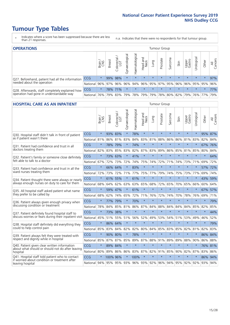- \* Indicates where a score has been suppressed because there are less than 21 responses.
- n.a. Indicates that there were no respondents for that tumour group.

| <b>OPERATIONS</b>                                |            |         |               |                        |                       |                |                  |         | Tumour Group |         |         |                 |            |                                                 |                |
|--------------------------------------------------|------------|---------|---------------|------------------------|-----------------------|----------------|------------------|---------|--------------|---------|---------|-----------------|------------|-------------------------------------------------|----------------|
|                                                  |            | Brain   | <b>Breast</b> | iolorectal<br>LGT<br>Ü | ত<br>haecologic<br>δř | Haematological | Head and<br>Neck | Lung    | Prostate     | Sarcoma | Skin    | Upper<br>Gastro | Jrological | Other                                           | All<br>Cancers |
| Q27. Beforehand, patient had all the information | CCG        | $\star$ |               | 99% 98%                | $\star$               | $\star$        | $\star$          | $\star$ | $\star$      | $\star$ | $\star$ | $\star$         | $\star$    | $\star$                                         | 97%            |
| needed about the operation                       | National   | 96%     |               | 97% 96%                |                       |                |                  |         |              |         |         |                 |            | 96% 94% 96% 95% 97% 95% 96% 96% 95% 95% 95% 96% |                |
| Q28. Afterwards, staff completely explained how  | <b>CCG</b> | $\star$ |               | 78% 71%                | $\star$               |                | $\star$          | $\star$ | $\star$      | $\star$ | $\star$ | $\star$         | $\star$    | $\star$                                         | 77%            |
| operation had gone in understandable way         | National   | 76%     |               | 79% 83%                |                       |                | 79%   78%   79%  |         |              |         |         |                 |            | 79%   78%   80%   82%   79%   76%   77%         | 79%            |

#### **HOSPITAL CARE AS AN INPATIENT** Tumour Group

|                                                                                                   |                                              | Brain   | <b>Breast</b> | $\frac{\text{Colored}}{\text{LGT}}$ | Gynaecological | Haematological | Head and<br><b>Neck</b> | Lung    | Prostate | Sarcoma | Skin    | Upper<br>Gastro | Urological | Other   | All<br>Cancers |
|---------------------------------------------------------------------------------------------------|----------------------------------------------|---------|---------------|-------------------------------------|----------------|----------------|-------------------------|---------|----------|---------|---------|-----------------|------------|---------|----------------|
| Q30. Hospital staff didn't talk in front of patient                                               | CCG                                          | $\star$ | 93%           | 83%                                 | $\star$        | 78%            | $\star$                 | $\star$ | $\star$  | $\star$ | $\star$ | $\star$         | $\star$    | 95% 87% |                |
| as if patient wasn't there                                                                        | National                                     | 81%     | 86%           | 81%                                 | 83%            | 84%            | 83%                     | 81%     | 88%      | 86%     | 86%     | 81%             | 83%        | 82%     | 84%            |
| 031. Patient had confidence and trust in all                                                      | CCG                                          | $\star$ | 78% 79%       |                                     | $\star$        | 74%            | $\star$                 | $\star$ | $\star$  | $\star$ | $\star$ | $\star$         | $\star$    | 67% 76% |                |
| doctors treating them                                                                             | National                                     | 82%     | 83%           | 85%                                 | 83%            | 82%            | 87%                     | 83%     | 89%      | 86%     | 85%     | 81%             | 85%        | 80%     | 84%            |
| Q32. Patient's family or someone close definitely                                                 | CCG                                          | $\star$ | 73% 63%       |                                     | $\star$        | 41%            | $\star$                 | $\star$ | $\star$  | $\star$ | $\star$ | $\star$         | $\star$    | $\star$ | 64%            |
| felt able to talk to a doctor                                                                     | National                                     | 67%     | 72%           | 73%                                 | 72%            | 74%            | 75%                     | 74%     | 72%      | 71%     | 74%     | 73%             | 71%        | 69%     | 72%            |
| O33. Patient had confidence and trust in all the                                                  | CCG                                          | $\star$ | 66%           | 64%                                 | $\star$        | 83%            | $\star$                 | $\star$ | $\star$  | $\star$ | $\star$ | $\star$         | $\star$    | 57%     | 172%           |
| ward nurses treating them                                                                         | National                                     | 72%     | 73%           | 72%                                 | 71%            | 77%            |                         | 75% 77% | 79%      | 74%     | 75%     |                 | 73% 77%    | 69%     | 74%            |
| Q34. Patient thought there were always or nearly<br>always enough nurses on duty to care for them | CCG                                          | $\star$ | 61%           | 55%                                 | $\star$        | 61%            | $\star$                 | $\star$ | $\star$  | $\star$ | $\star$ |                 | $\star$    | 43% 59% |                |
|                                                                                                   | National                                     | 68%     | 64%           | 62%                                 | 63%            |                | 63% 65% 68%             |         | 72%      | 65%     |         | 70% 65%         | 66%        | 60% 64% |                |
| Q35. All hospital staff asked patient what name                                                   | CCG                                          | $\star$ |               | 59% 47%                             | $\star$        | 61%            | $\star$                 | $\star$ | $\star$  | $\star$ | $\star$ | $\star$         | $\star$    | 67% 57% |                |
| they prefer to be called by                                                                       | National                                     | 68%     | 62%           | 74%                                 | 65%            | 72%            | 71%                     | 76%     | 72%      | 74%     | 70%     | 78%             | 76%        | 69%     | 71%            |
| Q36. Patient always given enough privacy when                                                     | CCG                                          | $\star$ | 77% 79%       |                                     | $\star$        | 70%            | $\star$                 | $\star$ | $\star$  | $\star$ | $\star$ | $\star$         | $\star$    | $\star$ | 79%            |
| discussing condition or treatment                                                                 | National                                     | 78%     | 84% 85%       |                                     | 81%            |                | 86% 87%                 | 84%     | 88%      | 84%     | 84%     | 84%             | 85%        | 82%     | 85%            |
| Q37. Patient definitely found hospital staff to                                                   | CCG                                          | $\star$ | 73%           | 38%                                 | $\star$        | $\star$        | $\star$                 | $\star$ | $\star$  | $\star$ | $\star$ | $\star$         | $\star$    | $\star$ | 44%            |
| discuss worries or fears during their inpatient visit                                             | National                                     | 45%     | 51%           | 55%                                 | 51%            | 56%            | 52%                     | 49%     | 53%      | 54%     |         | 51% 53%         | 49%        | 46%     | 52%            |
| Q38. Hospital staff definitely did everything they                                                | CCG                                          | $\star$ | 86% 64%       |                                     | $\star$        | $\star$        | $\star$                 | $\star$ | $\star$  | $\star$ | $\star$ | $\star$         | $\star$    | $\star$ | 79%            |
| could to help control pain                                                                        | National                                     | 85%     | 83%           | 84%                                 | 82%            |                | 82% 80%                 | 84%     | 85%      | 83%     | 85%     | 82%             | 81%        | 82%     | 83%            |
| Q39. Patient always felt they were treated with                                                   | CCG                                          | $\star$ | 90% 80%       |                                     | $\star$        | 78%            | $\star$                 | $\star$ | $\star$  | $\star$ | $\star$ | $\star$         | $\star$    | 86%     | 84%            |
| respect and dignity while in hospital                                                             | National                                     | 85%     | 87%           | 87%                                 | 85%            | 89%            | 87%                     | 88%     | 91%      | 89%     | 89%     | 88%             | 90%        | 86%     | 88%            |
| Q40. Patient given clear written information<br>about what should or should not do after leaving  | CCG                                          | $\star$ | 89% 84%       |                                     | $\star$        | $\star$        | $\star$                 | $\star$ | $\star$  | $\star$ | $\star$ | $\star$         | $\star$    |         | 76% 81%        |
| hospital                                                                                          | National 80%                                 |         | 89% 86%       |                                     | 86%            |                | 83% 87% 82%             |         | 91%      | 85%     | 90%     | 82%             | 87%        | 83%     | 86%            |
| Q41. Hospital staff told patient who to contact<br>if worried about condition or treatment after  | CCG                                          | $\star$ | 100% 96%      |                                     | $\star$        | 100%           | $\star$                 | $\star$ | $\star$  | $\star$ | $\star$ | $\star$         | $\star$    | 86% 94% |                |
| leaving hospital                                                                                  | National 94% 95% 95% 93% 96% 93% 92% 96% 94% |         |               |                                     |                |                |                         |         |          |         |         | 95% 92% 92%     |            |         | 93% 94%        |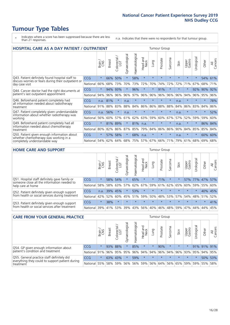- \* Indicates where a score has been suppressed because there are less than 21 responses.
- n.a. Indicates that there were no respondents for that tumour group.

| <b>HOSPITAL CARE AS A DAY PATIENT / OUTPATIENT</b>                                                                    |            |         |               |                       |                |                |                         |         |          | <b>Tumour Group</b> |         |                 |            |         |                |  |  |  |
|-----------------------------------------------------------------------------------------------------------------------|------------|---------|---------------|-----------------------|----------------|----------------|-------------------------|---------|----------|---------------------|---------|-----------------|------------|---------|----------------|--|--|--|
|                                                                                                                       |            | Brain   | <b>Breast</b> | olorectal<br>LGT<br>Ū | Gynaecological | Haematological | ead and<br>Neck<br>Head | Lung    | Prostate | Sarcoma             | Skin    | Upper<br>Gastro | Urological | Other   | All<br>Cancers |  |  |  |
| Q43. Patient definitely found hospital staff to                                                                       | CCG        | $\star$ | 66%           | 50%                   | $\star$        | 58%            | $\star$                 | $\star$ | $\star$  | $\star$             | $\star$ | $\star$         | $\star$    | 54%     | 61%            |  |  |  |
| discuss worries or fears during their outpatient or<br>day case visit                                                 | National   | 66%     | 68%           | 73%                   | 70%            | 73%            | 72%                     | 70%     | 74%      | 72%                 | 72%     | 71%             | 67%        | 68%     | 71%            |  |  |  |
| Q44. Cancer doctor had the right documents at<br>patient's last outpatient appointment                                | <b>CCG</b> | $\star$ | 94%           | 93%                   | $\star$        | 96%            | $\star$                 | $\star$ | 91%      | $\ast$              |         | $\star$         | 92%        | 90%     | 92%            |  |  |  |
|                                                                                                                       | National   | 94%     | 96%           | 96%                   | 96%            | 97%            | 96%                     | 96%     | 96%      | 96%                 | 96%     | 94%             | 96%        | 95%     | 96%            |  |  |  |
| Q46. Beforehand patient completely had                                                                                | CCG        | n.a.    | 81%           | $\star$               | n.a.           | $\star$        | $\star$                 | $\star$ | $\star$  | $\star$             | n.a.    | $\star$         | $\star$    | $\star$ | 78%            |  |  |  |
| all information needed about radiotherapy<br>treatment                                                                | National   | 91%     | 88%           | 83%                   | 88%            | 84%            | 86%                     | 86%     | 88%      | 88%                 | 84%     | 86%             | 83%        | 84%     | 86%            |  |  |  |
| Q47. Patient completely given understandable<br>information about whether radiotherapy was                            | CCG        | n.a.    | 56%           | $\star$               | n.a.           | $\star$        | $\star$                 | $\star$ | $\star$  | $\star$             | n.a.    | $\star$         | $\star$    | $\ast$  | 52%            |  |  |  |
| working                                                                                                               | National   | 56%     | 60%           | 57%                   | 61%            | 62%            | 63%                     | 59%     | 60%      | 67%                 | 57%     | 52%             | 59%        | 59%     | 60%            |  |  |  |
| Q49. Beforehand patient completely had all                                                                            | CCG        | $\star$ | 81%           | 89%                   | $\star$        | 81%            | n.a.                    | $\star$ | $\star$  | $\star$             | n.a.    | $\star$         | $^\star$   | 86%     | 84%            |  |  |  |
| information needed about chemotherapy<br>treatment                                                                    | National   | 80%     | 82%           | 86%                   | 87%            | 85%            | 79%                     | 84%     | 86%      | 86%                 | 90%     | 84%             | 85%        | 85%     | 84%            |  |  |  |
| Q50. Patient given enough information about<br>whether chemotherapy was working in a<br>completely understandable way | <b>CCG</b> | $\star$ | 57%           | 58%                   | $\star$        | 68%            | n.a.                    | $\star$ | $\star$  | $\star$             | n.a.    | $\star$         | $\star$    | 60%     | 60%            |  |  |  |
|                                                                                                                       | National   | 54%     | 62%           | 64%                   | 68%            | 75%            |                         | 57% 67% | 66%      | 71%                 | 79%     | 61%             | 68%        | 69%     | 68%            |  |  |  |

#### **HOME CARE AND SUPPORT** Tumour Group

|                                                                                                                   |            | Brain      | <b>Breast</b> | olorectal.<br>LGT<br>Ũ | σ<br>ت<br>Gynaecologi | Haematological | ad and<br>Neck<br>Head | <b>Lung</b> | Prostate | Sarcoma | Skin    | Upper<br>Gastro | rological   | Other   | All<br>Cancers |
|-------------------------------------------------------------------------------------------------------------------|------------|------------|---------------|------------------------|-----------------------|----------------|------------------------|-------------|----------|---------|---------|-----------------|-------------|---------|----------------|
| Q51. Hospital staff definitely gave family or<br>someone close all the information needed to<br>help care at home | <b>CCG</b> | $\star$    |               | 58% 54%                | $\star$               | 65%            | $\ast$                 | $\star$     | 71%      | $\ast$  |         |                 | 57% 77% 47% |         | 57%            |
|                                                                                                                   | National   | 58%        | 58%           | 63%                    | 57%                   | 62%            | 67%                    |             | 59% 61%  |         | 62% 65% | 60%             |             | 59% 55% | 60%            |
| Q52. Patient definitely given enough support<br>from health or social services during treatment                   | <b>CCG</b> | n.a.       |               | 39% 45%                | $\star$               | 53%            | $\star$                | $\star$     | $\star$  |         |         | $\star$         | $\star$     | 40% 45% |                |
|                                                                                                                   | National   | 42%        | 52%           | 60%                    |                       | 45% 51%        | 59%                    | 50%         | 48%      |         | 53% 57% |                 | 54% 48% 51% |         | 52%            |
| Q53. Patient definitely given enough support<br>from health or social services after treatment                    | <b>CCG</b> | $\star$    | 38%           |                        | $\star$               |                | $\star$                | $\star$     | $\star$  |         | $\star$ | $\star$         | $\star$     | $\star$ | 41%            |
|                                                                                                                   | National   | <b>39%</b> |               | 41% 53%                | 39%                   | 43%            | 56%                    | 40%         | 46%      |         | 48% 59% | 47%             | 44%         | 44%     | 45%            |

| <b>CARE FROM YOUR GENERAL PRACTICE</b>                                                                     |              |         |               |                   |                |                | Tumour Group                            |         |          |         |         |                 |                       |             |                |
|------------------------------------------------------------------------------------------------------------|--------------|---------|---------------|-------------------|----------------|----------------|-----------------------------------------|---------|----------|---------|---------|-----------------|-----------------------|-------------|----------------|
|                                                                                                            |              | Brain,  | <b>Breast</b> | Colorectal<br>LGT | Gynaecological | Haematological | Head and<br>Neck                        | Lung    | Prostate | Sarcoma | Skin    | Upper<br>Gastro | $\sigma$<br>Urologica | Other       | All<br>Cancers |
| Q54. GP given enough information about<br>patient's condition and treatment                                | <b>CCG</b>   | $\star$ |               | 93% 88%           |                | 85%            | $\star$                                 | $\star$ | 90%      | $\star$ | $\star$ | $\star$         |                       | 91% 91% 91% |                |
|                                                                                                            | National 91% |         |               |                   | 96% 95% 95%    |                | 96% 94% 94% 96% 94% 96% 93% 95% 94% 95% |         |          |         |         |                 |                       |             |                |
| Q55. General practice staff definitely did<br>everything they could to support patient during<br>treatment | <b>CCG</b>   | $\star$ |               | 63% 43%           | $\star$        | 59%            | $\star$                                 | $\star$ | $\star$  | $\star$ | $\star$ | $\star$         | $\star$               |             | 50% 53%        |
|                                                                                                            | National 55% |         |               | 58% 59%           | 56%            |                | 56% 59% 56% 64% 56% 65% 59% 59% 55%     |         |          |         |         |                 |                       |             | 58%            |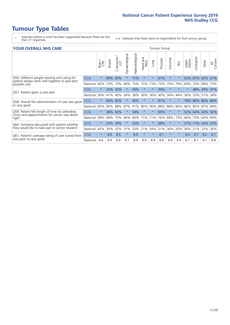- \* Indicates where a score has been suppressed because there are less than 21 responses.
- n.a. Indicates that there were no respondents for that tumour group.

#### **YOUR OVERALL NHS CARE** THE TWO CONTROLLER THE THE THROUP CHANGE THE TUMOUR GROUP

|            | Brain   | <b>Breast</b> | Colorectal | Gynaecological                                 | Haematological | <b>Bad and<br/>Neck</b><br>Head | Lung     | Prostate | Sarcoma | Skin    | Upper<br>Gastro | Urological | Other      | All<br>Cancers                                     |
|------------|---------|---------------|------------|------------------------------------------------|----------------|---------------------------------|----------|----------|---------|---------|-----------------|------------|------------|----------------------------------------------------|
| <b>CCG</b> | $\star$ | 69%           | 60%        | $\star$                                        | 71%            | $\star$                         | $^\star$ | 67%      | $\star$ | $\star$ | 52%             | 67%        | 65%        | 67%                                                |
| National   | 60%     |               |            | 69%                                            | 75%            | 73%                             | 73%      | 75%      | 70%     | 79%     | 69%             | 74%        |            | 73%                                                |
| <b>CCG</b> | $\star$ |               |            |                                                | 43%            | $\star$                         | $\star$  | 39%      | $\star$ | $\star$ | $\star$         | 48%        |            | 37%                                                |
| National   | 36%     | 41%           | 40%        | 34%                                            | 36%            | 39%                             | 36%      | 40%      | 34%     | 44%     | 36%             | 33%        | 31%        | 38%                                                |
| <b>CCG</b> | $\star$ | 90%           |            |                                                | 95%            | $\star$                         | $\star$  | 81%      | $\star$ | $\star$ | 78%             |            |            | 86%                                                |
| National   | 85%     | 90%           |            | 87%                                            | 91%            | 90%                             | 90%      |          | 88%     | 90%     | 86%             |            |            |                                                    |
| <b>CCG</b> | $\star$ |               |            | $\star$                                        | 54%            | $\star$                         | $\star$  | 65%      | $\star$ | $\star$ |                 |            |            | 52%                                                |
| National   | 58%     | 68%           | 73%        | 66%                                            | 66%            | 71%                             | 71%      | 76%      | 68%     | 73%     | 66%             | 75%        | 64%        | 69%                                                |
| <b>CCG</b> | $\star$ | 23%           | 29%        |                                                | 22%            | $\star$                         | $^\star$ | 48%      | $\star$ | $\star$ | 27%             | 17%        |            | 25%                                                |
| National   | 42%     | 30%           | 32%        | 31%                                            | 33%            | 21%                             | 34%      |          | 36%     | 20%     | 36%             | 21%        | 32%        | 30%                                                |
| <b>CCG</b> | $\star$ | 8.9           | 8.5        | $\star$                                        | 8.9            | $\star$                         | $^\star$ | 8.7      | $\star$ | $\star$ | 8.4             | 8.7        | 8.2        | 8.7                                                |
| National   | 8.6     | 8.9           | 8.8        | 8.7                                            | 8.9            | 8.8                             | 8.8      | 8.8      | 8.8     | 8.9     | 8.7             | 8.7        | 8.7        | 8.8                                                |
|            |         |               |            | 73% 73%<br>32% 33%<br>83%<br>88%<br>62%<br>38% |                |                                 |          |          | 31%     | 88%     |                 |            | 86%<br>85% | 68%<br>29%<br>80%<br>87% 89%<br>52% 64% 42%<br>24% |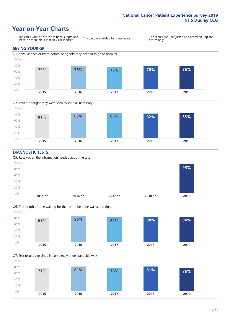### **Year on Year Charts**





#### **DIAGNOSTIC TESTS**





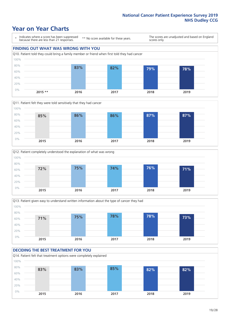## **Year on Year Charts**

\* Indicates where a score has been suppressed because there are less than 21 responses. \*\* No score available for these years. The scores are unadjusted and based on England scores only. **FINDING OUT WHAT WAS WRONG WITH YOU** Q10. Patient told they could bring a family member or friend when first told they had cancer 0% 20% 40% 60% 80% 100% **2015 \*\* 2016 2017 2018 2019 83% 82% 79% 78%**







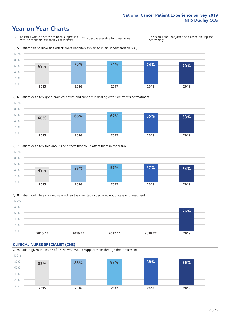### **Year on Year Charts**







Q18. Patient definitely involved as much as they wanted in decisions about care and treatment  $0%$ 20% 40% 60% 80% 100% **2015 \*\* 2016 \*\* 2017 \*\* 2018 \*\* 2019 76%**

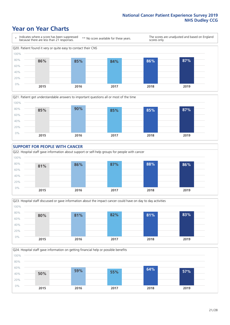### **Year on Year Charts**











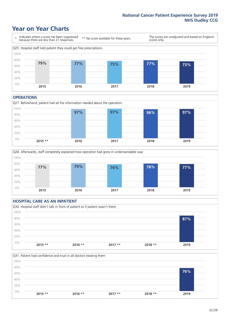### **Year on Year Charts**



#### **OPERATIONS**





#### **HOSPITAL CARE AS AN INPATIENT** Q30. Hospital staff didn't talk in front of patient as if patient wasn't there 0% 20% 40% 60% 80% 100% **2015 \*\* 2016 \*\* 2017 \*\* 2018 \*\* 2019 87%**

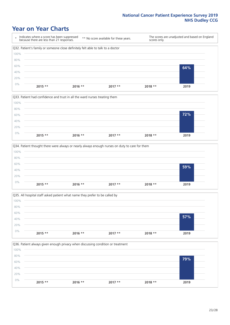### **Year on Year Charts**









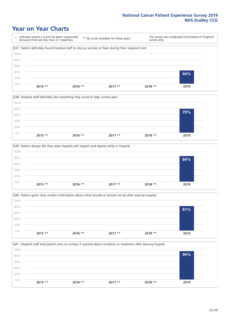### **Year on Year Charts**

\* Indicates where a score has been suppressed because there are less than 21 responses. \*\* No score available for these years. The scores are unadjusted and based on England scores only. Q37. Patient definitely found hospital staff to discuss worries or fears during their inpatient visit 0% 20% 40% 60% 80% 100% **2015 \*\* 2016 \*\* 2017 \*\* 2018 \*\* 2019 44%**







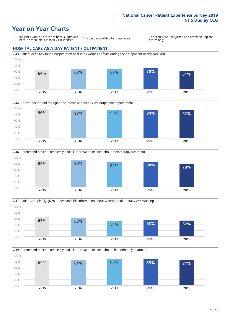### **Year on Year Charts**

\* Indicates where a score has been suppressed because there are less than 21 responses.

\*\* No score available for these years.

The scores are unadjusted and based on England scores only.

#### **HOSPITAL CARE AS A DAY PATIENT / OUTPATIENT**









Q49. Beforehand patient completely had all information needed about chemotherapy treatment 80% 100% **85% 84% 88% 85% 84%**

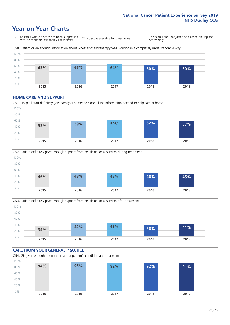### **Year on Year Charts**

\* Indicates where a score has been suppressed because there are less than 21 responses. \*\* No score available for these years.

The scores are unadjusted and based on England scores only.



#### **HOME CARE AND SUPPORT**







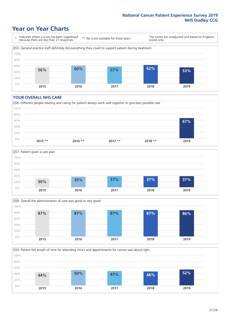### **Year on Year Charts**

\* Indicates where a score has been suppressed because there are less than 21 responses.

\*\* No score available for these years.

The scores are unadjusted and based on England scores only.



#### **YOUR OVERALL NHS CARE**







Q59. Patient felt length of time for attending clinics and appointments for cancer was about right 0% 20% 40% 60% 80% 100% **2015 2016 2017 2018 2019 44% 50% 47% 46% 52%**